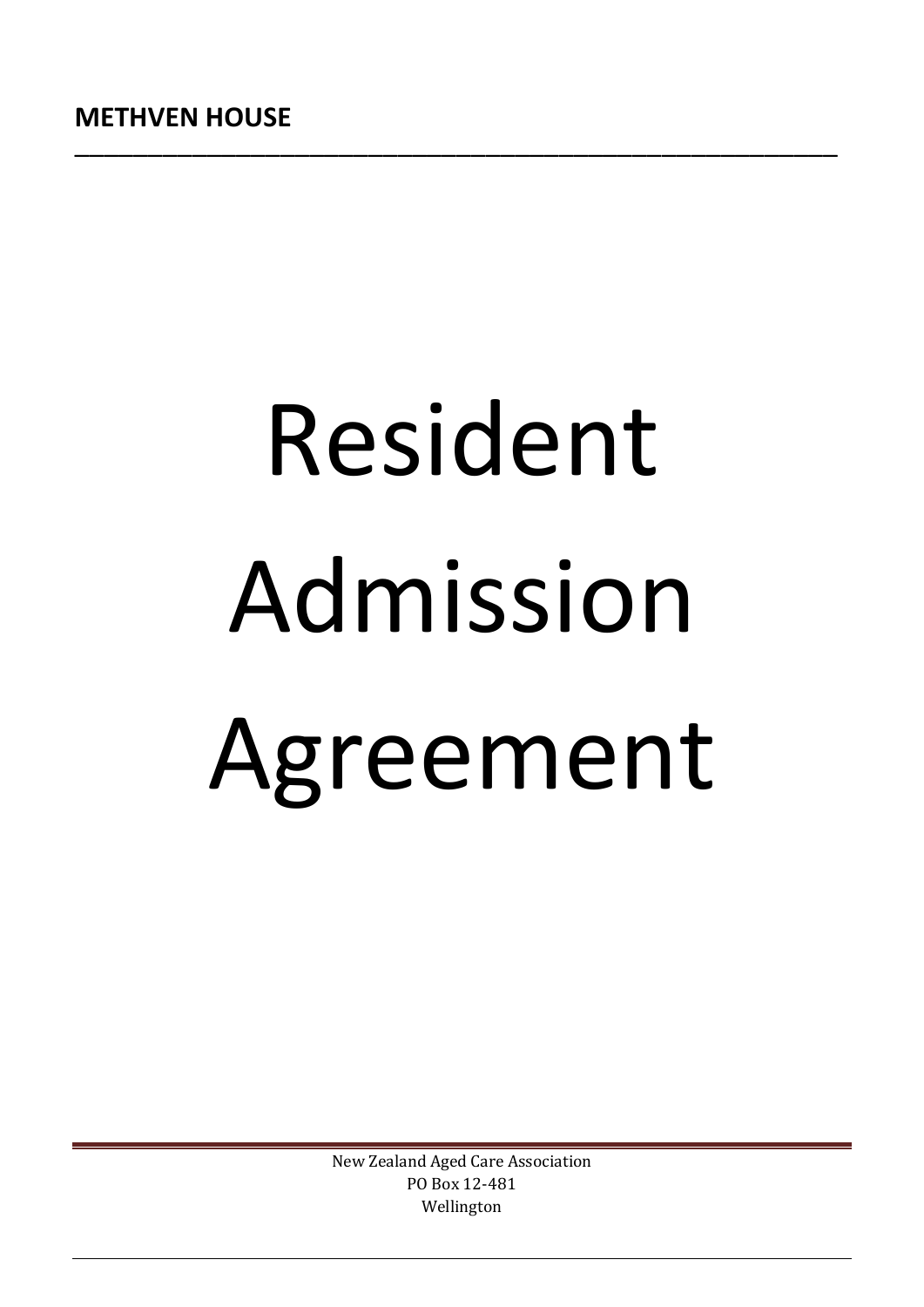# Resident Admission Agreement

New Zealand Aged Care Association PO Box 12-481 Wellington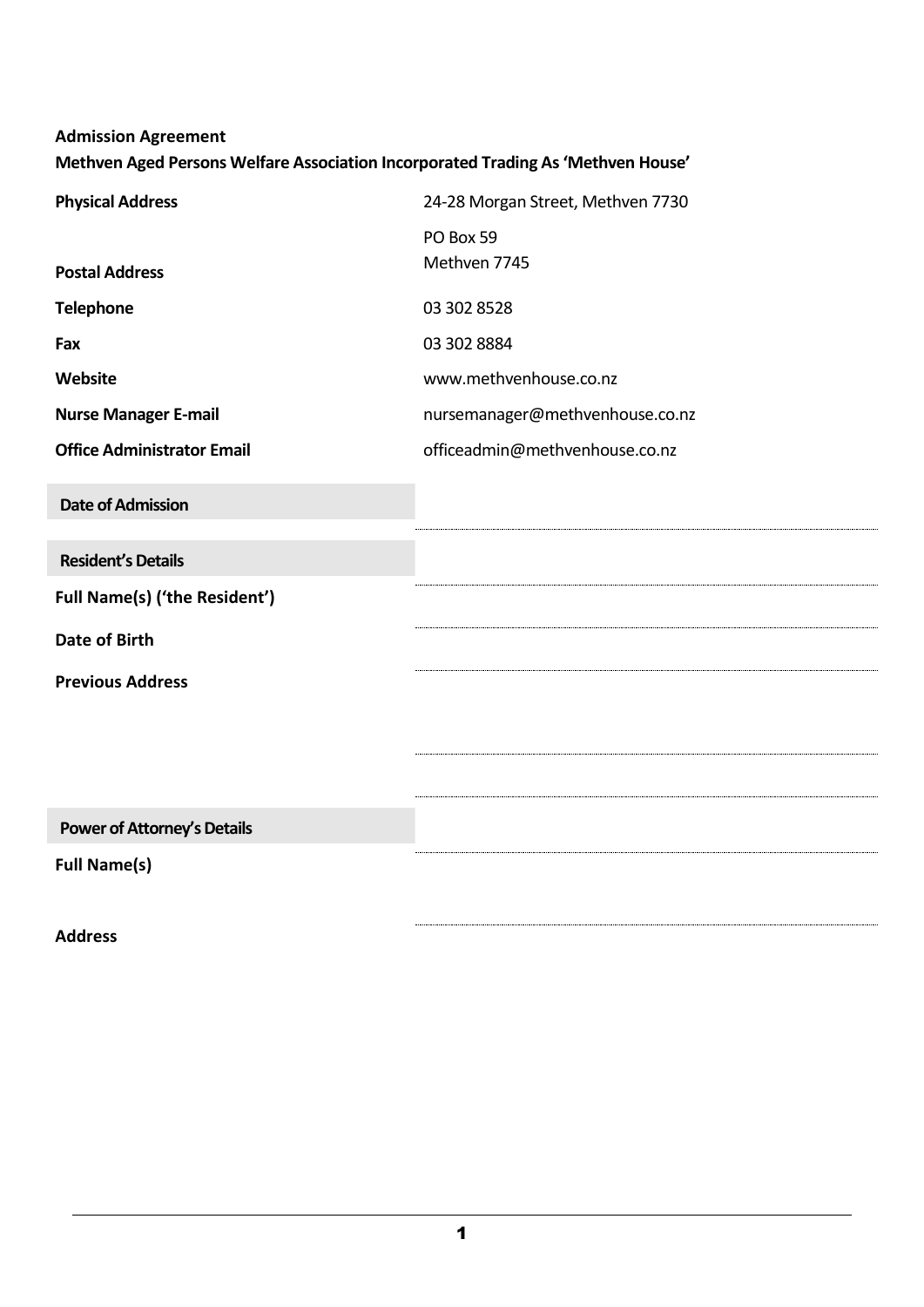| <b>Admission Agreement</b><br>Methven Aged Persons Welfare Association Incorporated Trading As 'Methven House' |                                   |  |  |  |  |
|----------------------------------------------------------------------------------------------------------------|-----------------------------------|--|--|--|--|
| <b>Physical Address</b>                                                                                        | 24-28 Morgan Street, Methven 7730 |  |  |  |  |
|                                                                                                                | PO Box 59                         |  |  |  |  |
| <b>Postal Address</b>                                                                                          | Methven 7745                      |  |  |  |  |
| <b>Telephone</b>                                                                                               | 03 302 8528                       |  |  |  |  |
| Fax                                                                                                            | 03 302 8884                       |  |  |  |  |
| Website                                                                                                        | www.methvenhouse.co.nz            |  |  |  |  |
| <b>Nurse Manager E-mail</b>                                                                                    | nursemanager@methvenhouse.co.nz   |  |  |  |  |
| <b>Office Administrator Email</b>                                                                              | officeadmin@methvenhouse.co.nz    |  |  |  |  |
| <b>Date of Admission</b>                                                                                       |                                   |  |  |  |  |
| <b>Resident's Details</b>                                                                                      |                                   |  |  |  |  |
| <b>Full Name(s) ('the Resident')</b>                                                                           |                                   |  |  |  |  |
| <b>Date of Birth</b>                                                                                           |                                   |  |  |  |  |
| <b>Previous Address</b>                                                                                        |                                   |  |  |  |  |
|                                                                                                                |                                   |  |  |  |  |
|                                                                                                                |                                   |  |  |  |  |
|                                                                                                                |                                   |  |  |  |  |
| <b>Power of Attorney's Details</b>                                                                             |                                   |  |  |  |  |
| <b>Full Name(s)</b>                                                                                            |                                   |  |  |  |  |

**Address**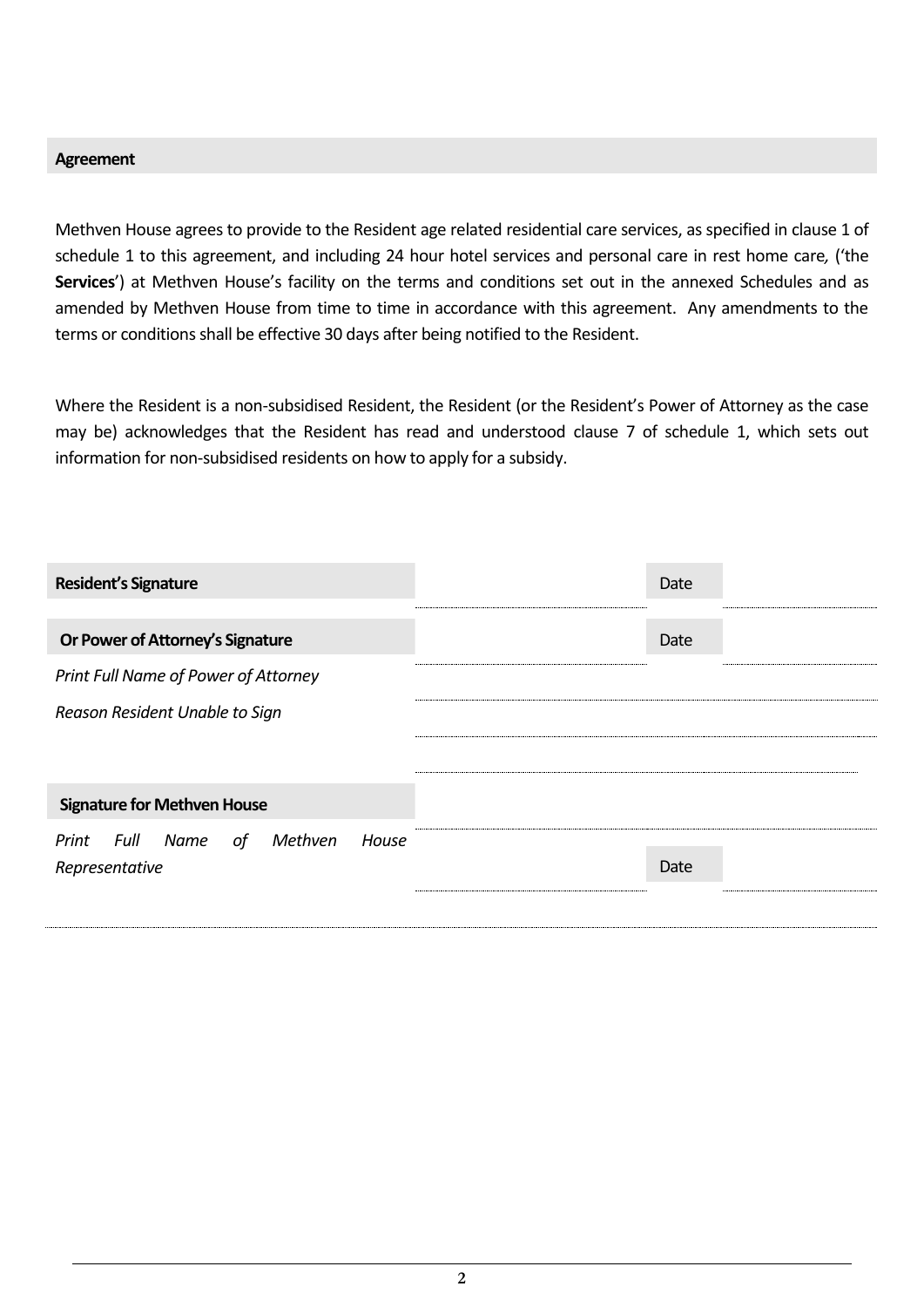#### **Agreement**

Methven House agrees to provide to the Resident age related residential care services, as specified in clause 1 of schedule 1 to this agreement, and including 24 hour hotel services and personal care in rest home care*,* ('the **Services**') at Methven House's facility on the terms and conditions set out in the annexed Schedules and as amended by Methven House from time to time in accordance with this agreement. Any amendments to the terms or conditions shall be effective 30 days after being notified to the Resident.

Where the Resident is a non-subsidised Resident, the Resident (or the Resident's Power of Attorney as the case may be) acknowledges that the Resident has read and understood clause 7 of schedule 1, which sets out information for non-subsidised residents on how to apply for a subsidy.

| <b>Resident's Signature</b>                                 | Date |
|-------------------------------------------------------------|------|
| Or Power of Attorney's Signature                            | Date |
| Print Full Name of Power of Attorney                        |      |
| Reason Resident Unable to Sign                              |      |
|                                                             |      |
| <b>Signature for Methven House</b>                          |      |
| Print Full Name<br>Methven<br>House<br>of<br>Representative | Date |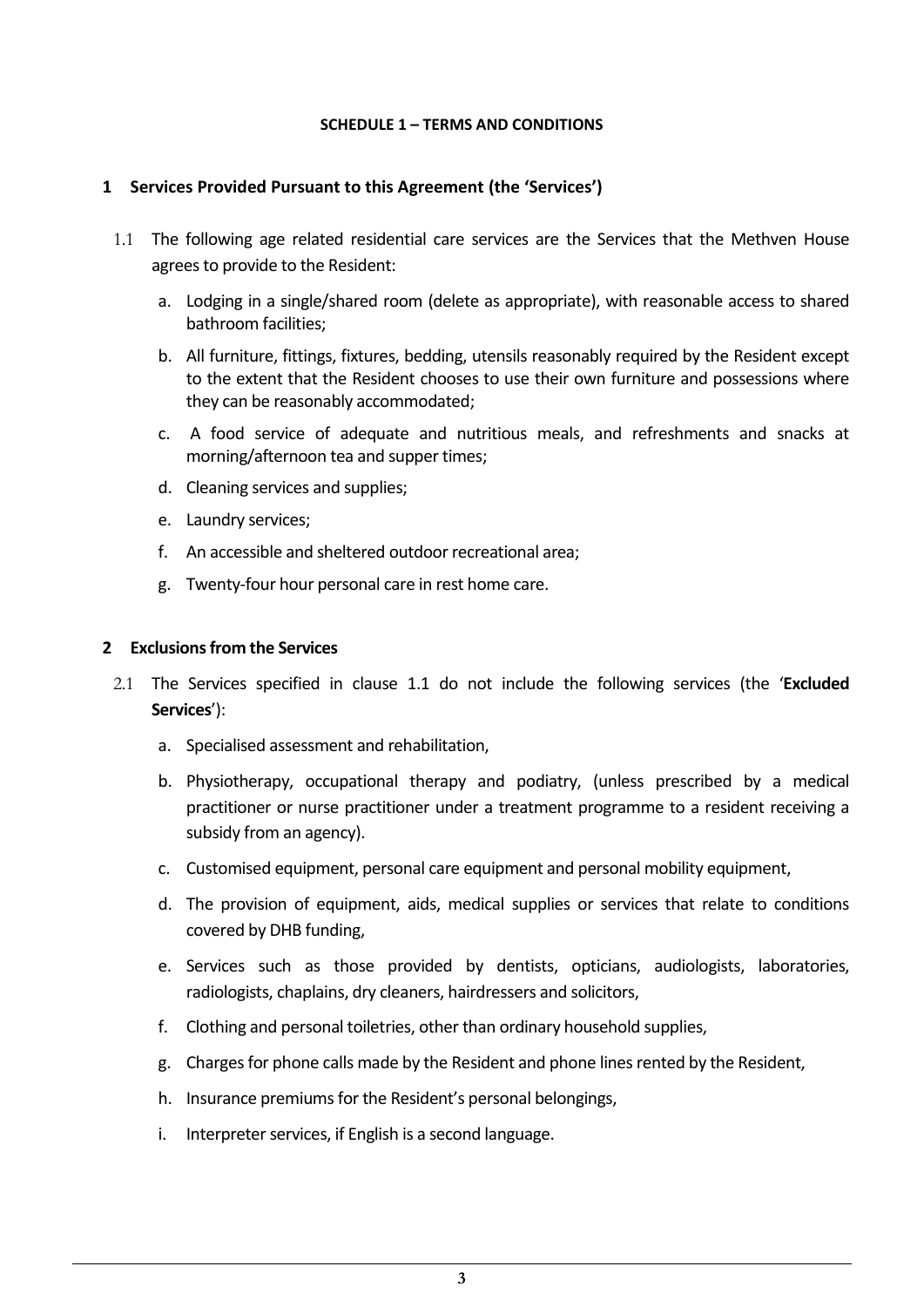#### **SCHEDULE 1 – TERMS AND CONDITIONS**

#### **1 Services Provided Pursuant to this Agreement (the 'Services')**

- 1.1 The following age related residential care services are the Services that the Methven House agrees to provide to the Resident:
	- a. Lodging in a single/shared room (delete as appropriate), with reasonable access to shared bathroom facilities;
	- b. All furniture, fittings, fixtures, bedding, utensils reasonably required by the Resident except to the extent that the Resident chooses to use their own furniture and possessions where they can be reasonably accommodated;
	- c. A food service of adequate and nutritious meals, and refreshments and snacks at morning/afternoon tea and supper times;
	- d. Cleaning services and supplies;
	- e. Laundry services;
	- f. An accessible and sheltered outdoor recreational area;
	- g. Twenty-four hour personal care in rest home care.

#### **2 Exclusions from the Services**

- 2.1 The Services specified in clause 1.1 do not include the following services (the '**Excluded Services**'):
	- a. Specialised assessment and rehabilitation,
	- b. Physiotherapy, occupational therapy and podiatry, (unless prescribed by a medical practitioner or nurse practitioner under a treatment programme to a resident receiving a subsidy from an agency).
	- c. Customised equipment, personal care equipment and personal mobility equipment,
	- d. The provision of equipment, aids, medical supplies or services that relate to conditions covered by DHB funding,
	- e. Services such as those provided by dentists, opticians, audiologists, laboratories, radiologists, chaplains, dry cleaners, hairdressers and solicitors,
	- f. Clothing and personal toiletries, other than ordinary household supplies,
	- g. Charges for phone calls made by the Resident and phone lines rented by the Resident,
	- h. Insurance premiums for the Resident's personal belongings,
	- i. Interpreter services, if English is a second language.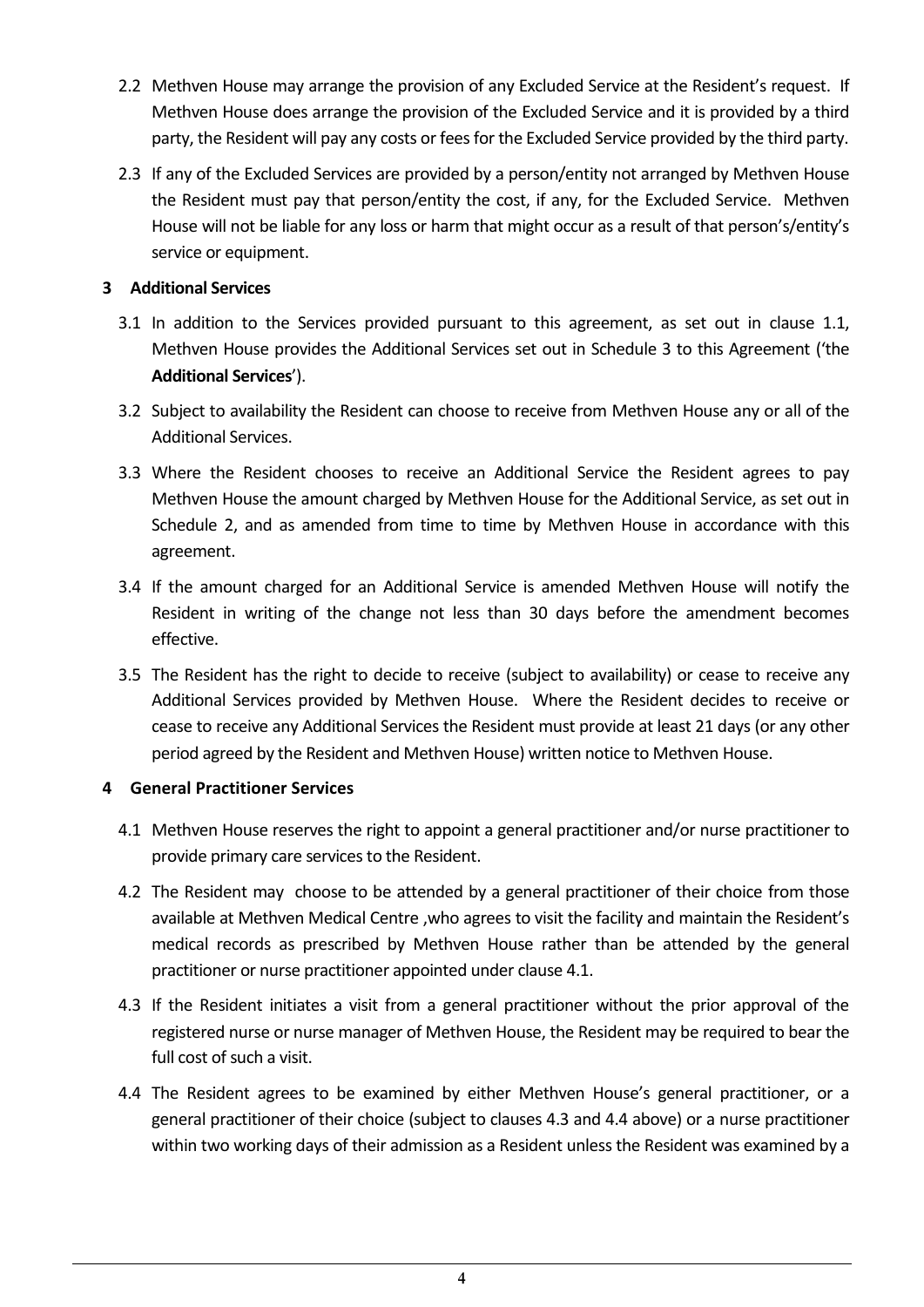- 2.2 Methven House may arrange the provision of any Excluded Service at the Resident's request. If Methven House does arrange the provision of the Excluded Service and it is provided by a third party, the Resident will pay any costs or fees for the Excluded Service provided by the third party.
- 2.3 If any of the Excluded Services are provided by a person/entity not arranged by Methven House the Resident must pay that person/entity the cost, if any, for the Excluded Service. Methven House will not be liable for any loss or harm that might occur as a result of that person's/entity's service or equipment.

# **3 Additional Services**

- 3.1 In addition to the Services provided pursuant to this agreement, as set out in clause 1.1, Methven House provides the Additional Services set out in Schedule 3 to this Agreement ('the **Additional Services**').
- 3.2 Subject to availability the Resident can choose to receive from Methven House any or all of the Additional Services.
- 3.3 Where the Resident chooses to receive an Additional Service the Resident agrees to pay Methven House the amount charged by Methven House for the Additional Service, as set out in Schedule 2, and as amended from time to time by Methven House in accordance with this agreement.
- 3.4 If the amount charged for an Additional Service is amended Methven House will notify the Resident in writing of the change not less than 30 days before the amendment becomes effective.
- 3.5 The Resident has the right to decide to receive (subject to availability) or cease to receive any Additional Services provided by Methven House. Where the Resident decides to receive or cease to receive any Additional Services the Resident must provide at least 21 days (or any other period agreed by the Resident and Methven House) written notice to Methven House.

# **4 General Practitioner Services**

- 4.1 Methven House reserves the right to appoint a general practitioner and/or nurse practitioner to provide primary care services to the Resident.
- 4.2 The Resident may choose to be attended by a general practitioner of their choice from those available at Methven Medical Centre ,who agrees to visit the facility and maintain the Resident's medical records as prescribed by Methven House rather than be attended by the general practitioner or nurse practitioner appointed under clause 4.1.
- 4.3 If the Resident initiates a visit from a general practitioner without the prior approval of the registered nurse or nurse manager of Methven House, the Resident may be required to bear the full cost of such a visit.
- 4.4 The Resident agrees to be examined by either Methven House's general practitioner, or a general practitioner of their choice (subject to clauses 4.3 and 4.4 above) or a nurse practitioner within two working days of their admission as a Resident unless the Resident was examined by a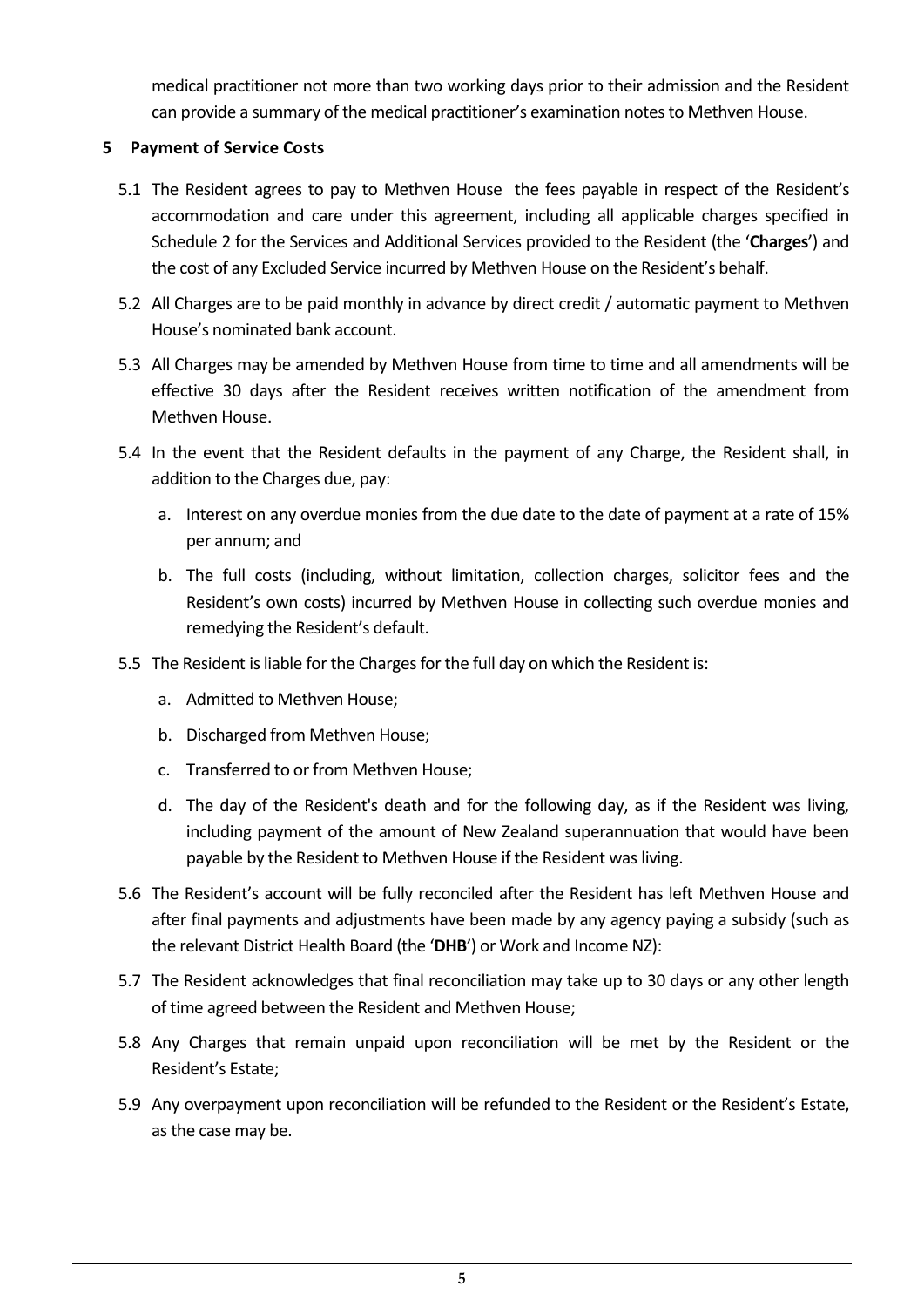medical practitioner not more than two working days prior to their admission and the Resident can provide a summary of the medical practitioner's examination notes to Methven House.

# **5 Payment of Service Costs**

- 5.1 The Resident agrees to pay to Methven House the fees payable in respect of the Resident's accommodation and care under this agreement, including all applicable charges specified in Schedule 2 for the Services and Additional Services provided to the Resident (the '**Charges**') and the cost of any Excluded Service incurred by Methven House on the Resident's behalf.
- 5.2 All Charges are to be paid monthly in advance by direct credit / automatic payment to Methven House's nominated bank account.
- 5.3 All Charges may be amended by Methven House from time to time and all amendments will be effective 30 days after the Resident receives written notification of the amendment from Methven House.
- 5.4 In the event that the Resident defaults in the payment of any Charge, the Resident shall, in addition to the Charges due, pay:
	- a. Interest on any overdue monies from the due date to the date of payment at a rate of 15% per annum; and
	- b. The full costs (including, without limitation, collection charges, solicitor fees and the Resident's own costs) incurred by Methven House in collecting such overdue monies and remedying the Resident's default.
- 5.5 The Resident is liable for the Charges for the full day on which the Resident is:
	- a. Admitted to Methven House;
	- b. Discharged from Methven House;
	- c. Transferred to or from Methven House;
	- d. The day of the Resident's death and for the following day, as if the Resident was living, including payment of the amount of New Zealand superannuation that would have been payable by the Resident to Methven House if the Resident was living.
- 5.6 The Resident's account will be fully reconciled after the Resident has left Methven House and after final payments and adjustments have been made by any agency paying a subsidy (such as the relevant District Health Board (the '**DHB**') or Work and Income NZ):
- 5.7 The Resident acknowledges that final reconciliation may take up to 30 days or any other length of time agreed between the Resident and Methven House;
- 5.8 Any Charges that remain unpaid upon reconciliation will be met by the Resident or the Resident's Estate;
- 5.9 Any overpayment upon reconciliation will be refunded to the Resident or the Resident's Estate, as the case may be.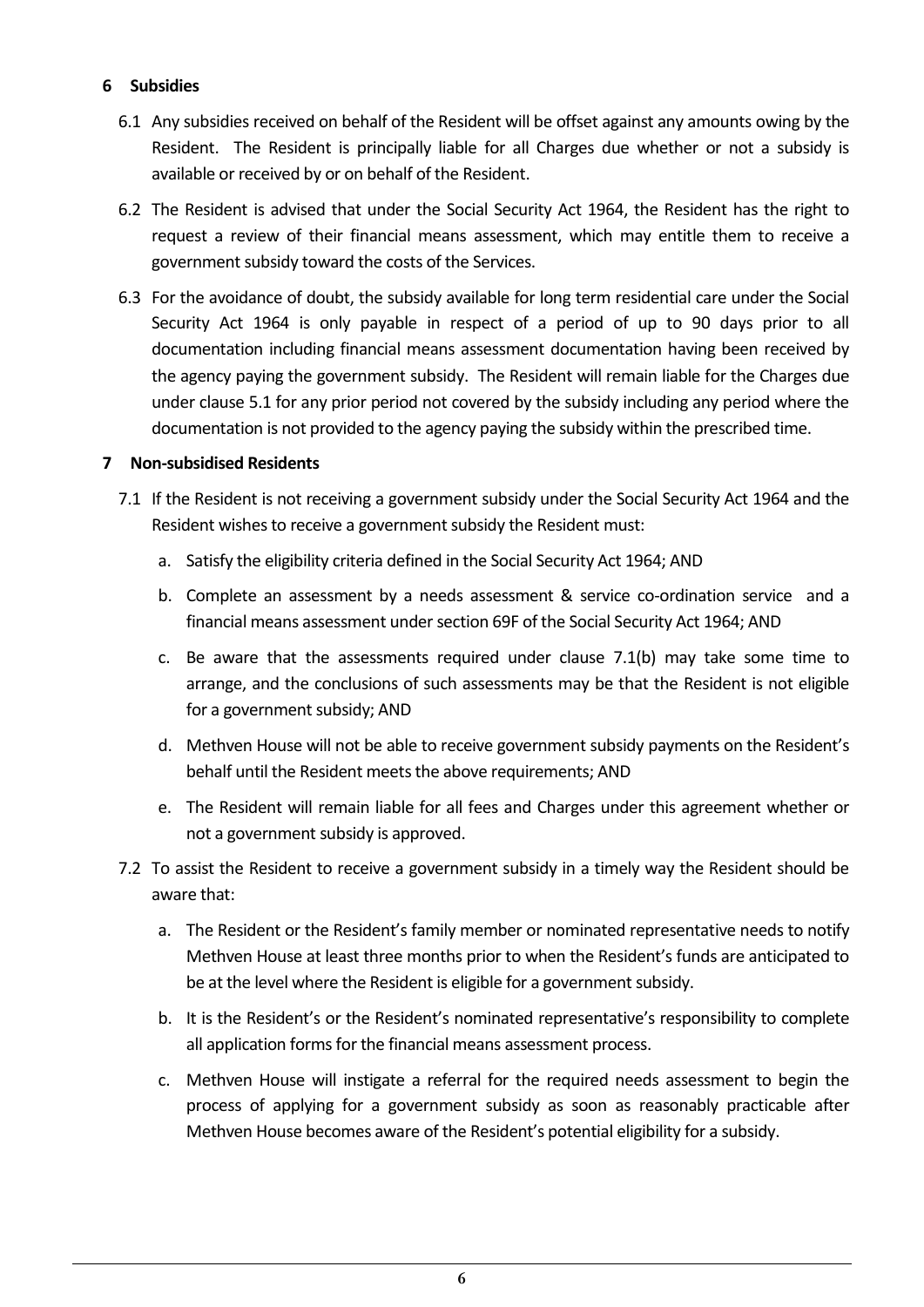#### **6 Subsidies**

- 6.1 Any subsidies received on behalf of the Resident will be offset against any amounts owing by the Resident. The Resident is principally liable for all Charges due whether or not a subsidy is available or received by or on behalf of the Resident.
- 6.2 The Resident is advised that under the Social Security Act 1964, the Resident has the right to request a review of their financial means assessment, which may entitle them to receive a government subsidy toward the costs of the Services.
- 6.3 For the avoidance of doubt, the subsidy available for long term residential care under the Social Security Act 1964 is only payable in respect of a period of up to 90 days prior to all documentation including financial means assessment documentation having been received by the agency paying the government subsidy. The Resident will remain liable for the Charges due under clause 5.1 for any prior period not covered by the subsidy including any period where the documentation is not provided to the agency paying the subsidy within the prescribed time.

#### **7 Non-subsidised Residents**

- 7.1 If the Resident is not receiving a government subsidy under the Social Security Act 1964 and the Resident wishes to receive a government subsidy the Resident must:
	- a. Satisfy the eligibility criteria defined in the Social Security Act 1964; AND
	- b. Complete an assessment by a needs assessment & service co-ordination service and a financial means assessment under section 69F of the Social Security Act 1964; AND
	- c. Be aware that the assessments required under clause 7.1(b) may take some time to arrange, and the conclusions of such assessments may be that the Resident is not eligible for a government subsidy; AND
	- d. Methven House will not be able to receive government subsidy payments on the Resident's behalf until the Resident meets the above requirements; AND
	- e. The Resident will remain liable for all fees and Charges under this agreement whether or not a government subsidy is approved.
- 7.2 To assist the Resident to receive a government subsidy in a timely way the Resident should be aware that:
	- a. The Resident or the Resident's family member or nominated representative needs to notify Methven House at least three months prior to when the Resident's funds are anticipated to be at the level where the Resident is eligible for a government subsidy.
	- b. It is the Resident's or the Resident's nominated representative's responsibility to complete all application forms for the financial means assessment process.
	- c. Methven House will instigate a referral for the required needs assessment to begin the process of applying for a government subsidy as soon as reasonably practicable after Methven House becomes aware of the Resident's potential eligibility for a subsidy.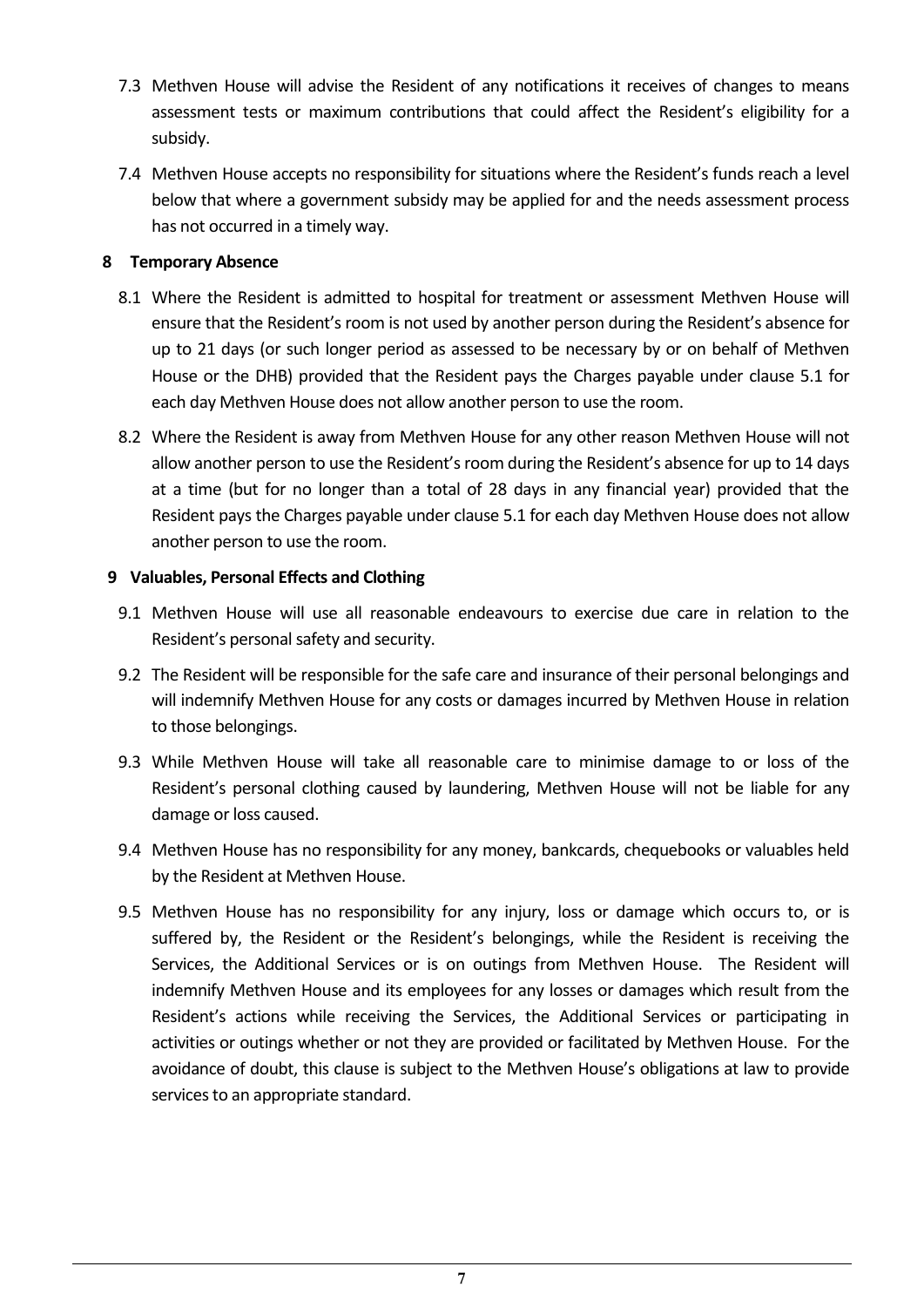- 7.3 Methven House will advise the Resident of any notifications it receives of changes to means assessment tests or maximum contributions that could affect the Resident's eligibility for a subsidy.
- 7.4 Methven House accepts no responsibility for situations where the Resident's funds reach a level below that where a government subsidy may be applied for and the needs assessment process has not occurred in a timely way.

# **8 Temporary Absence**

- 8.1 Where the Resident is admitted to hospital for treatment or assessment Methven House will ensure that the Resident's room is not used by another person during the Resident's absence for up to 21 days (or such longer period as assessed to be necessary by or on behalf of Methven House or the DHB) provided that the Resident pays the Charges payable under clause 5.1 for each day Methven House does not allow another person to use the room.
- 8.2 Where the Resident is away from Methven House for any other reason Methven House will not allow another person to use the Resident's room during the Resident's absence for up to 14 days at a time (but for no longer than a total of 28 days in any financial year) provided that the Resident pays the Charges payable under clause 5.1 for each day Methven House does not allow another person to use the room.

# **9 Valuables, Personal Effects and Clothing**

- 9.1 Methven House will use all reasonable endeavours to exercise due care in relation to the Resident's personal safety and security.
- 9.2 The Resident will be responsible for the safe care and insurance of their personal belongings and will indemnify Methven House for any costs or damages incurred by Methven House in relation to those belongings.
- 9.3 While Methven House will take all reasonable care to minimise damage to or loss of the Resident's personal clothing caused by laundering, Methven House will not be liable for any damage or loss caused.
- 9.4 Methven House has no responsibility for any money, bankcards, chequebooks or valuables held by the Resident at Methven House.
- 9.5 Methven House has no responsibility for any injury, loss or damage which occurs to, or is suffered by, the Resident or the Resident's belongings, while the Resident is receiving the Services, the Additional Services or is on outings from Methven House. The Resident will indemnify Methven House and its employees for any losses or damages which result from the Resident's actions while receiving the Services, the Additional Services or participating in activities or outings whether or not they are provided or facilitated by Methven House. For the avoidance of doubt, this clause is subject to the Methven House's obligations at law to provide services to an appropriate standard.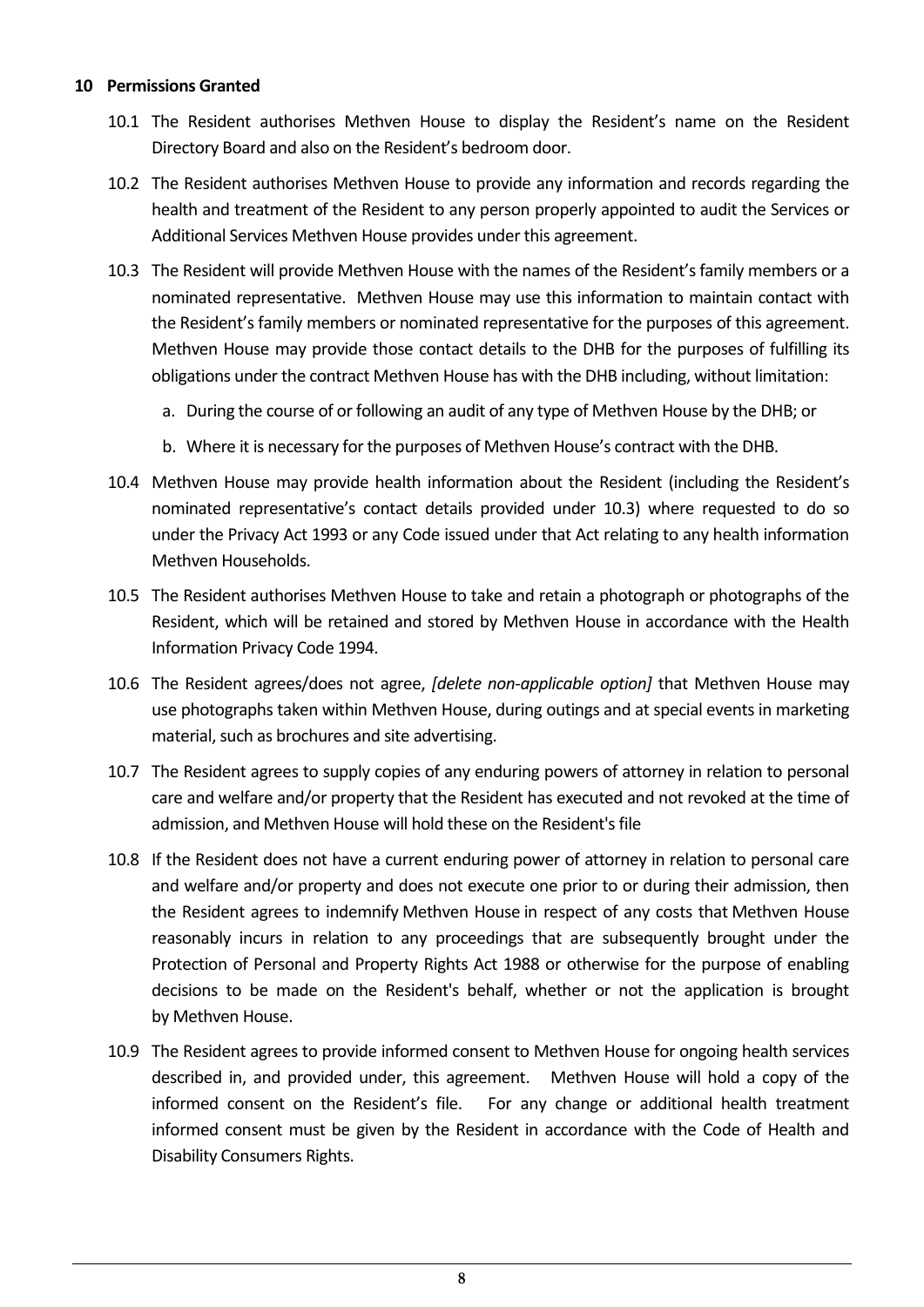#### **10 Permissions Granted**

- 10.1 The Resident authorises Methven House to display the Resident's name on the Resident Directory Board and also on the Resident's bedroom door.
- 10.2 The Resident authorises Methven House to provide any information and records regarding the health and treatment of the Resident to any person properly appointed to audit the Services or Additional Services Methven House provides under this agreement.
- 10.3 The Resident will provide Methven House with the names of the Resident's family members or a nominated representative. Methven House may use this information to maintain contact with the Resident's family members or nominated representative for the purposes of this agreement. Methven House may provide those contact details to the DHB for the purposes of fulfilling its obligations under the contract Methven House has with the DHB including, without limitation:
	- a. During the course of or following an audit of any type of Methven House by the DHB; or
	- b. Where it is necessary for the purposes of Methven House's contract with the DHB.
- 10.4 Methven House may provide health information about the Resident (including the Resident's nominated representative's contact details provided under 10.3) where requested to do so under the Privacy Act 1993 or any Code issued under that Act relating to any health information Methven Households.
- 10.5 The Resident authorises Methven House to take and retain a photograph or photographs of the Resident, which will be retained and stored by Methven House in accordance with the Health Information Privacy Code 1994.
- 10.6 The Resident agrees/does not agree, *[delete non-applicable option]* that Methven House may use photographs taken within Methven House, during outings and at special events in marketing material, such as brochures and site advertising.
- 10.7 The Resident agrees to supply copies of any enduring powers of attorney in relation to personal care and welfare and/or property that the Resident has executed and not revoked at the time of admission, and Methven House will hold these on the Resident's file
- 10.8 If the Resident does not have a current enduring power of attorney in relation to personal care and welfare and/or property and does not execute one prior to or during their admission, then the Resident agrees to indemnify Methven House in respect of any costs that Methven House reasonably incurs in relation to any proceedings that are subsequently brought under the Protection of Personal and Property Rights Act 1988 or otherwise for the purpose of enabling decisions to be made on the Resident's behalf, whether or not the application is brought by Methven House.
- 10.9 The Resident agrees to provide informed consent to Methven House for ongoing health services described in, and provided under, this agreement. Methven House will hold a copy of the informed consent on the Resident's file. For any change or additional health treatment informed consent must be given by the Resident in accordance with the Code of Health and Disability Consumers Rights.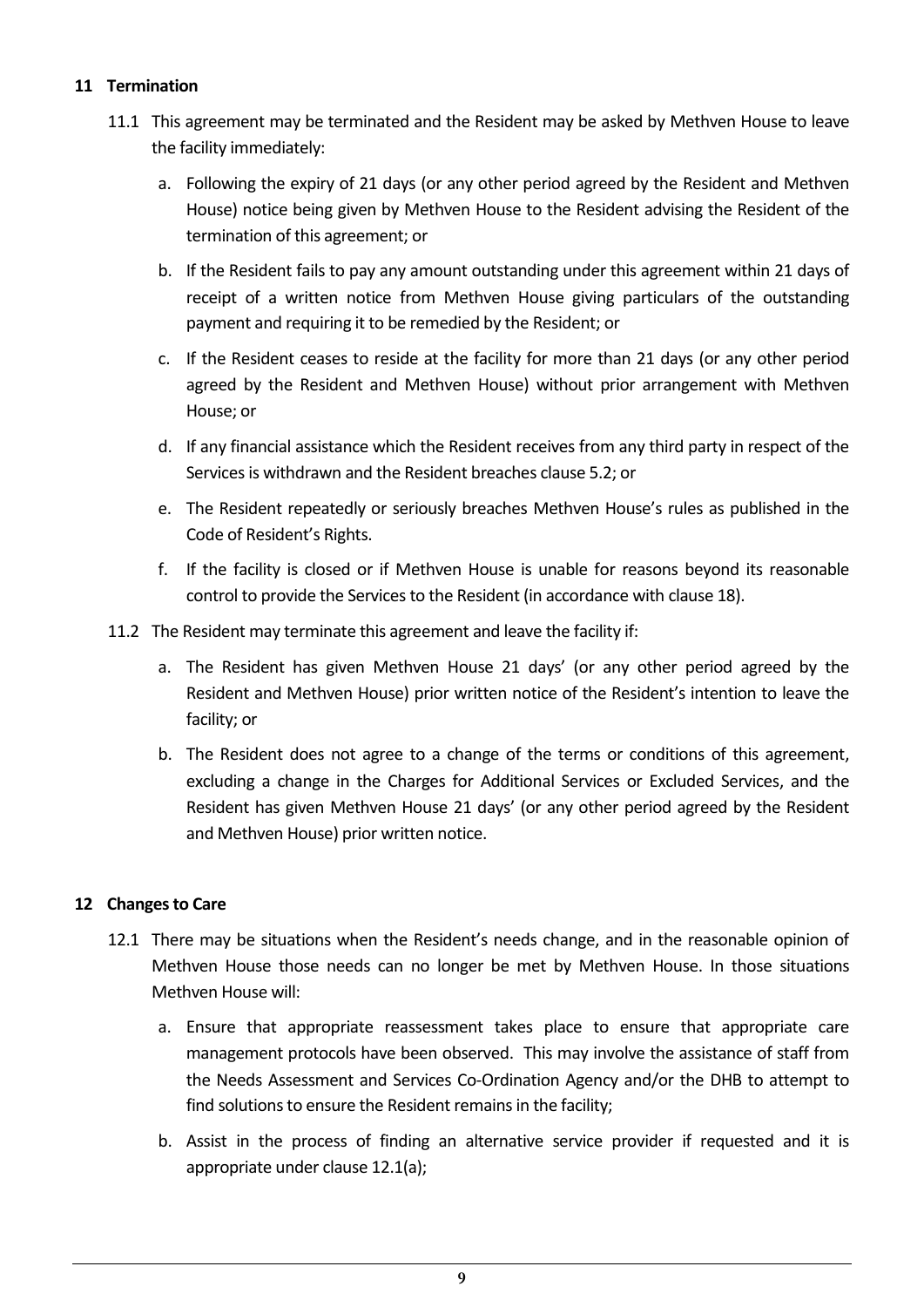# **11 Termination**

- 11.1 This agreement may be terminated and the Resident may be asked by Methven House to leave the facility immediately:
	- a. Following the expiry of 21 days (or any other period agreed by the Resident and Methven House) notice being given by Methven House to the Resident advising the Resident of the termination of this agreement; or
	- b. If the Resident fails to pay any amount outstanding under this agreement within 21 days of receipt of a written notice from Methven House giving particulars of the outstanding payment and requiring it to be remedied by the Resident; or
	- c. If the Resident ceases to reside at the facility for more than 21 days (or any other period agreed by the Resident and Methven House) without prior arrangement with Methven House; or
	- d. If any financial assistance which the Resident receives from any third party in respect of the Services is withdrawn and the Resident breaches clause 5.2; or
	- e. The Resident repeatedly or seriously breaches Methven House's rules as published in the Code of Resident's Rights.
	- f. If the facility is closed or if Methven House is unable for reasons beyond its reasonable control to provide the Services to the Resident (in accordance with clause 18).
- 11.2 The Resident may terminate this agreement and leave the facility if:
	- a. The Resident has given Methven House 21 days' (or any other period agreed by the Resident and Methven House) prior written notice of the Resident's intention to leave the facility; or
	- b. The Resident does not agree to a change of the terms or conditions of this agreement, excluding a change in the Charges for Additional Services or Excluded Services, and the Resident has given Methven House 21 days' (or any other period agreed by the Resident and Methven House) prior written notice.

# **12 Changes to Care**

- 12.1 There may be situations when the Resident's needs change, and in the reasonable opinion of Methven House those needs can no longer be met by Methven House. In those situations Methven House will:
	- a. Ensure that appropriate reassessment takes place to ensure that appropriate care management protocols have been observed. This may involve the assistance of staff from the Needs Assessment and Services Co-Ordination Agency and/or the DHB to attempt to find solutions to ensure the Resident remains in the facility;
	- b. Assist in the process of finding an alternative service provider if requested and it is appropriate under clause 12.1(a);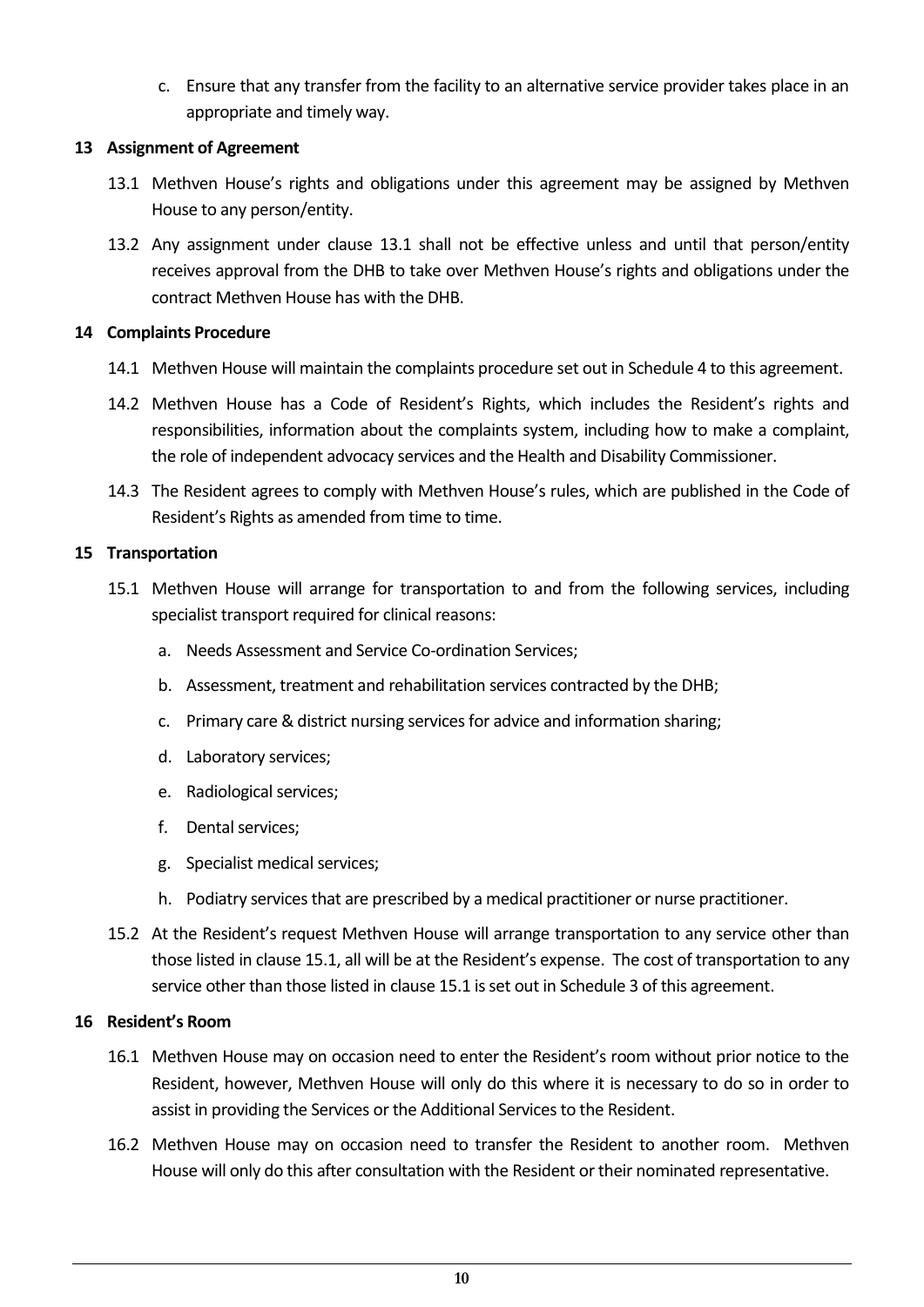c. Ensure that any transfer from the facility to an alternative service provider takes place in an appropriate and timely way.

# **13 Assignment of Agreement**

- 13.1 Methven House's rights and obligations under this agreement may be assigned by Methven House to any person/entity.
- 13.2 Any assignment under clause 13.1 shall not be effective unless and until that person/entity receives approval from the DHB to take over Methven House's rights and obligations under the contract Methven House has with the DHB.

#### **14 Complaints Procedure**

- 14.1 Methven House will maintain the complaints procedure set out in Schedule 4 to this agreement.
- 14.2 Methven House has a Code of Resident's Rights, which includes the Resident's rights and responsibilities, information about the complaints system, including how to make a complaint, the role of independent advocacy services and the Health and Disability Commissioner.
- 14.3 The Resident agrees to comply with Methven House's rules, which are published in the Code of Resident's Rights as amended from time to time.

#### **15 Transportation**

- 15.1 Methven House will arrange for transportation to and from the following services, including specialist transport required for clinical reasons:
	- a. Needs Assessment and Service Co-ordination Services;
	- b. Assessment, treatment and rehabilitation services contracted by the DHB;
	- c. Primary care & district nursing services for advice and information sharing;
	- d. Laboratory services;
	- e. Radiological services;
	- f. Dental services;
	- g. Specialist medical services;
	- h. Podiatry services that are prescribed by a medical practitioner or nurse practitioner.
- 15.2 At the Resident's request Methven House will arrange transportation to any service other than those listed in clause 15.1, all will be at the Resident's expense. The cost of transportation to any service other than those listed in clause 15.1 is set out in Schedule 3 of this agreement.

#### **16 Resident's Room**

- 16.1 Methven House may on occasion need to enter the Resident's room without prior notice to the Resident, however, Methven House will only do this where it is necessary to do so in order to assist in providing the Services or the Additional Services to the Resident.
- 16.2 Methven House may on occasion need to transfer the Resident to another room. Methven House will only do this after consultation with the Resident or their nominated representative.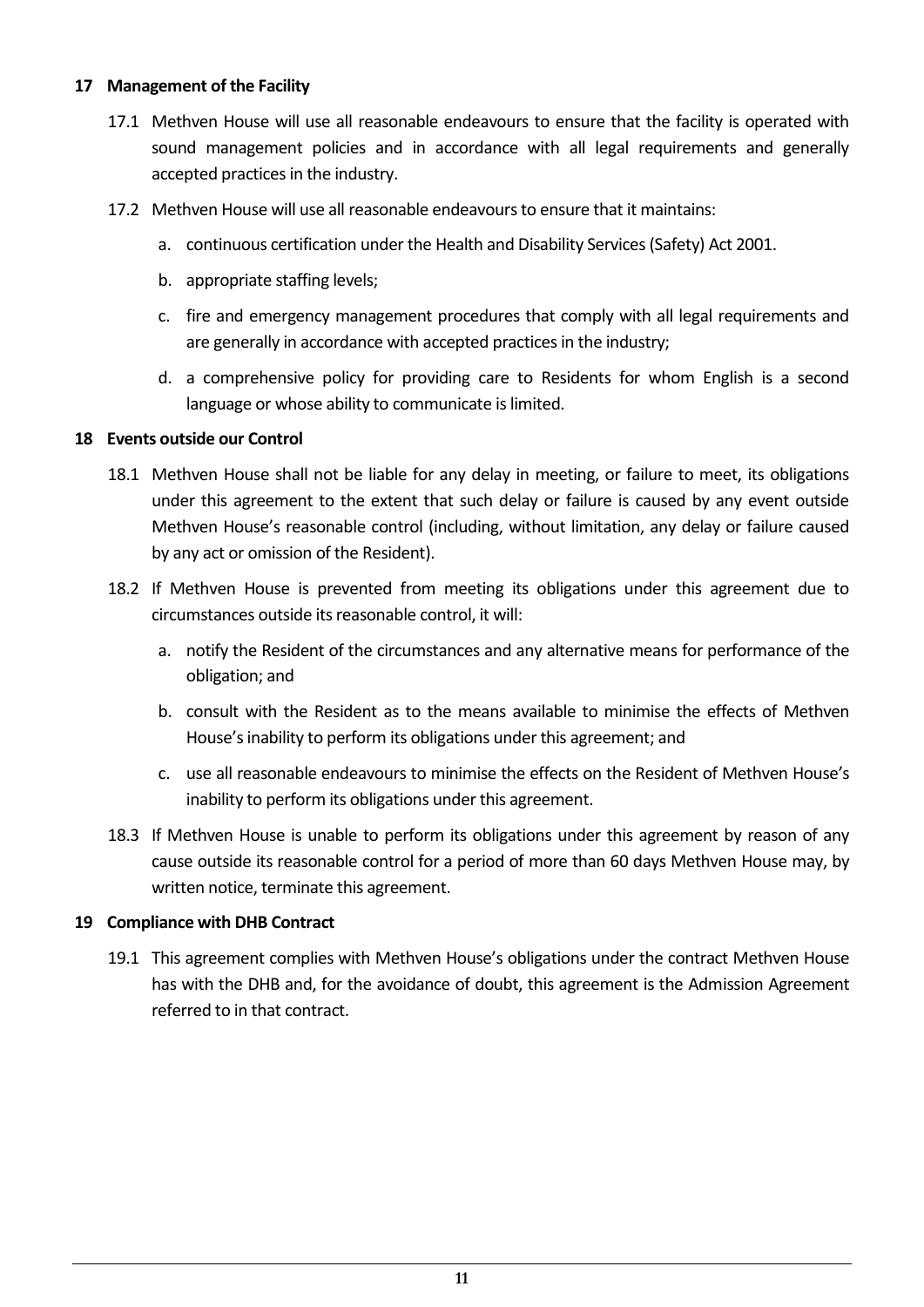#### **17 Management of the Facility**

- 17.1 Methven House will use all reasonable endeavours to ensure that the facility is operated with sound management policies and in accordance with all legal requirements and generally accepted practices in the industry.
- 17.2 Methven House will use all reasonable endeavours to ensure that it maintains:
	- a. continuous certification under the Health and Disability Services (Safety) Act 2001.
	- b. appropriate staffing levels;
	- c. fire and emergency management procedures that comply with all legal requirements and are generally in accordance with accepted practices in the industry;
	- d. a comprehensive policy for providing care to Residents for whom English is a second language or whose ability to communicate is limited.

#### **18 Events outside our Control**

- 18.1 Methven House shall not be liable for any delay in meeting, or failure to meet, its obligations under this agreement to the extent that such delay or failure is caused by any event outside Methven House's reasonable control (including, without limitation, any delay or failure caused by any act or omission of the Resident).
- 18.2 If Methven House is prevented from meeting its obligations under this agreement due to circumstances outside its reasonable control, it will:
	- a. notify the Resident of the circumstances and any alternative means for performance of the obligation; and
	- b. consult with the Resident as to the means available to minimise the effects of Methven House's inability to perform its obligations under this agreement; and
	- c. use all reasonable endeavours to minimise the effects on the Resident of Methven House's inability to perform its obligations under this agreement.
- 18.3 If Methven House is unable to perform its obligations under this agreement by reason of any cause outside its reasonable control for a period of more than 60 days Methven House may, by written notice, terminate this agreement.

#### **19 Compliance with DHB Contract**

19.1 This agreement complies with Methven House's obligations under the contract Methven House has with the DHB and, for the avoidance of doubt, this agreement is the Admission Agreement referred to in that contract.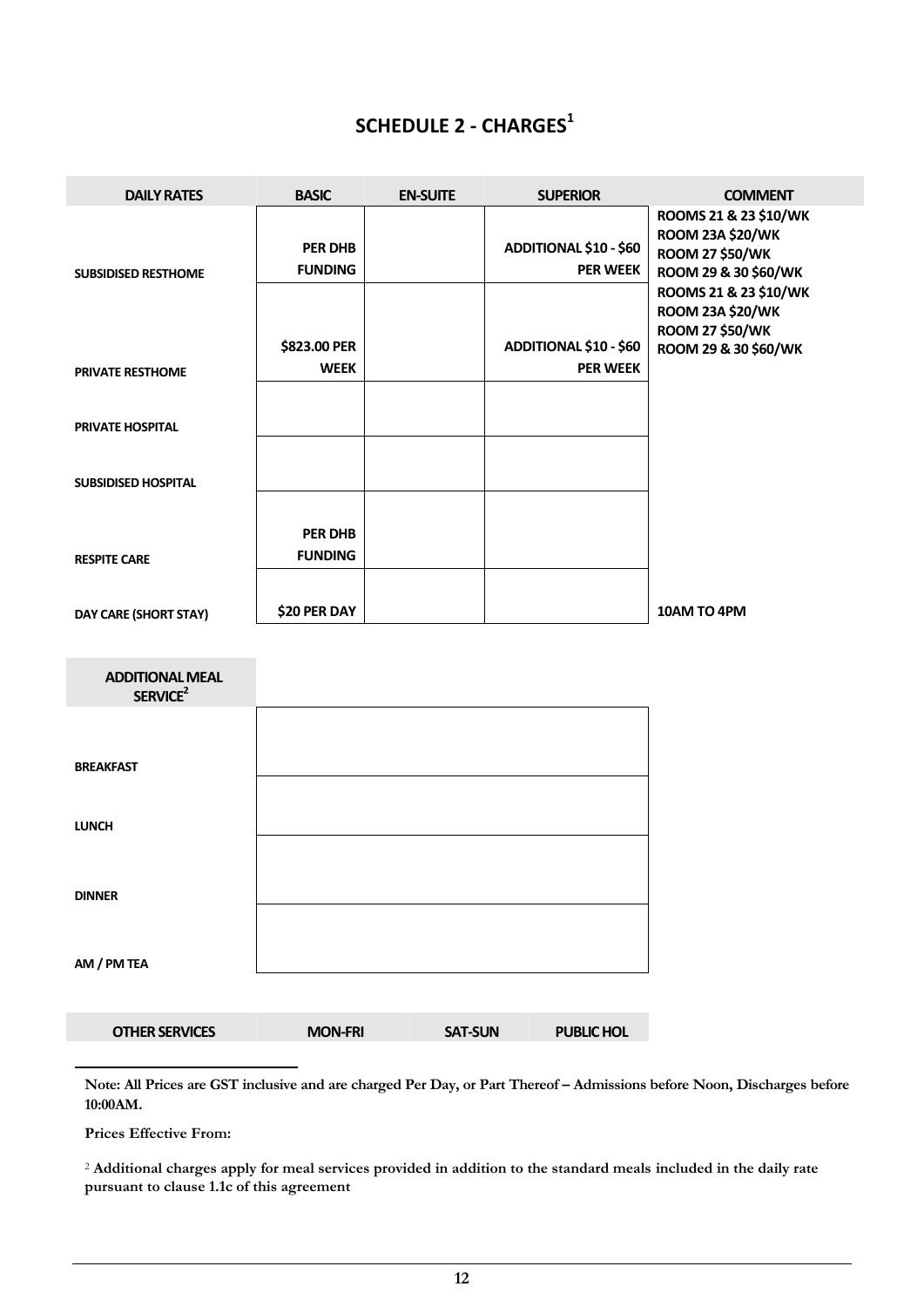# **SCHEDULE 2 - CHARGES<sup>1</sup>**

| <b>DAILY RATES</b>                             | <b>BASIC</b>                     | <b>EN-SUITE</b> | <b>SUPERIOR</b>                                  | <b>COMMENT</b>                                                                                                                                         |
|------------------------------------------------|----------------------------------|-----------------|--------------------------------------------------|--------------------------------------------------------------------------------------------------------------------------------------------------------|
| <b>SUBSIDISED RESTHOME</b>                     | <b>PER DHB</b><br><b>FUNDING</b> |                 | <b>ADDITIONAL \$10 - \$60</b><br><b>PER WEEK</b> | ROOMS 21 & 23 \$10/WK<br><b>ROOM 23A \$20/WK</b><br><b>ROOM 27 \$50/WK</b><br>ROOM 29 & 30 \$60/WK<br>ROOMS 21 & 23 \$10/WK<br><b>ROOM 23A \$20/WK</b> |
| <b>PRIVATE RESTHOME</b>                        | \$823.00 PER<br><b>WEEK</b>      |                 | <b>ADDITIONAL \$10 - \$60</b><br><b>PER WEEK</b> | <b>ROOM 27 \$50/WK</b><br>ROOM 29 & 30 \$60/WK                                                                                                         |
| <b>PRIVATE HOSPITAL</b>                        |                                  |                 |                                                  |                                                                                                                                                        |
| <b>SUBSIDISED HOSPITAL</b>                     |                                  |                 |                                                  |                                                                                                                                                        |
| <b>RESPITE CARE</b>                            | <b>PER DHB</b><br><b>FUNDING</b> |                 |                                                  |                                                                                                                                                        |
| DAY CARE (SHORT STAY)                          | \$20 PER DAY                     |                 |                                                  | 10AM TO 4PM                                                                                                                                            |
| <b>ADDITIONAL MEAL</b><br>SERVICE <sup>2</sup> |                                  |                 |                                                  |                                                                                                                                                        |
| <b>BREAKFAST</b>                               |                                  |                 |                                                  |                                                                                                                                                        |
| <b>LUNCH</b>                                   |                                  |                 |                                                  |                                                                                                                                                        |
| <b>DINNER</b>                                  |                                  |                 |                                                  |                                                                                                                                                        |
| AM / PM TEA                                    |                                  |                 |                                                  |                                                                                                                                                        |
| <b>OTHER SERVICES</b>                          | <b>MON-FRI</b>                   | <b>SAT-SUN</b>  | <b>PUBLIC HOL</b>                                |                                                                                                                                                        |

Note: All Prices are GST inclusive and are charged Per Day, or Part Thereof - Admissions before Noon, Discharges before **10:00AM.**

**Prices Effective From:**

-

<sup>2</sup> **Additional charges apply for meal services provided in addition to the standard meals included in the daily rate pursuant to clause 1.1c of this agreement**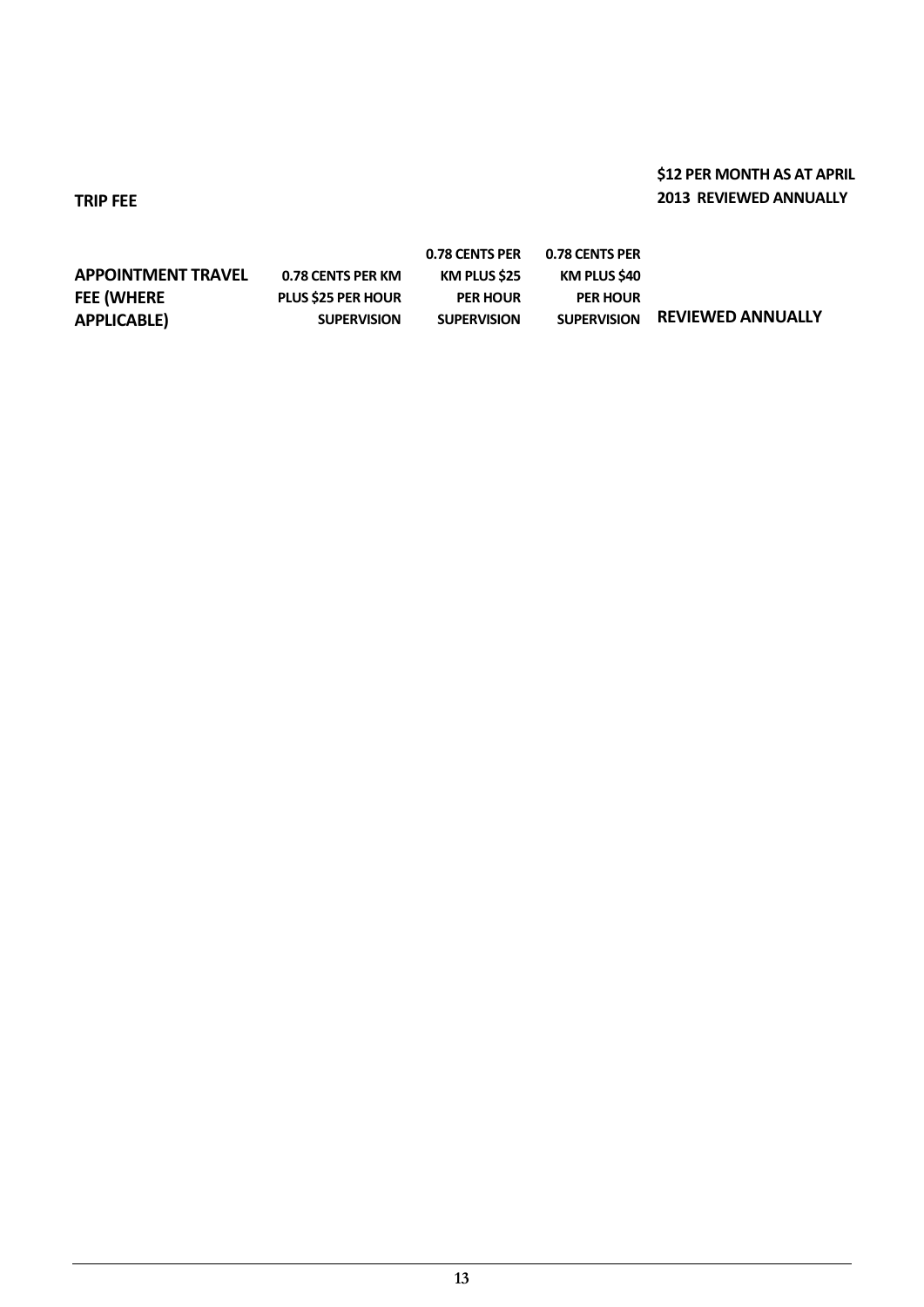# **\$12 PER MONTH AS AT APRIL 2013 REVIEWED ANNUALLY**

**TRIP FEE**

|                           |                           | 0.78 CENTS PER      | 0.78 CENTS PER     |                          |
|---------------------------|---------------------------|---------------------|--------------------|--------------------------|
| <b>APPOINTMENT TRAVEL</b> | 0.78 CENTS PER KM         | <b>KM PLUS \$25</b> | KM PLUS \$40       |                          |
| <b>FEE (WHERE</b>         | <b>PLUS \$25 PER HOUR</b> | <b>PER HOUR</b>     | <b>PER HOUR</b>    |                          |
| <b>APPLICABLE)</b>        | <b>SUPERVISION</b>        | <b>SUPERVISION</b>  | <b>SUPERVISION</b> | <b>REVIEWED ANNUALLY</b> |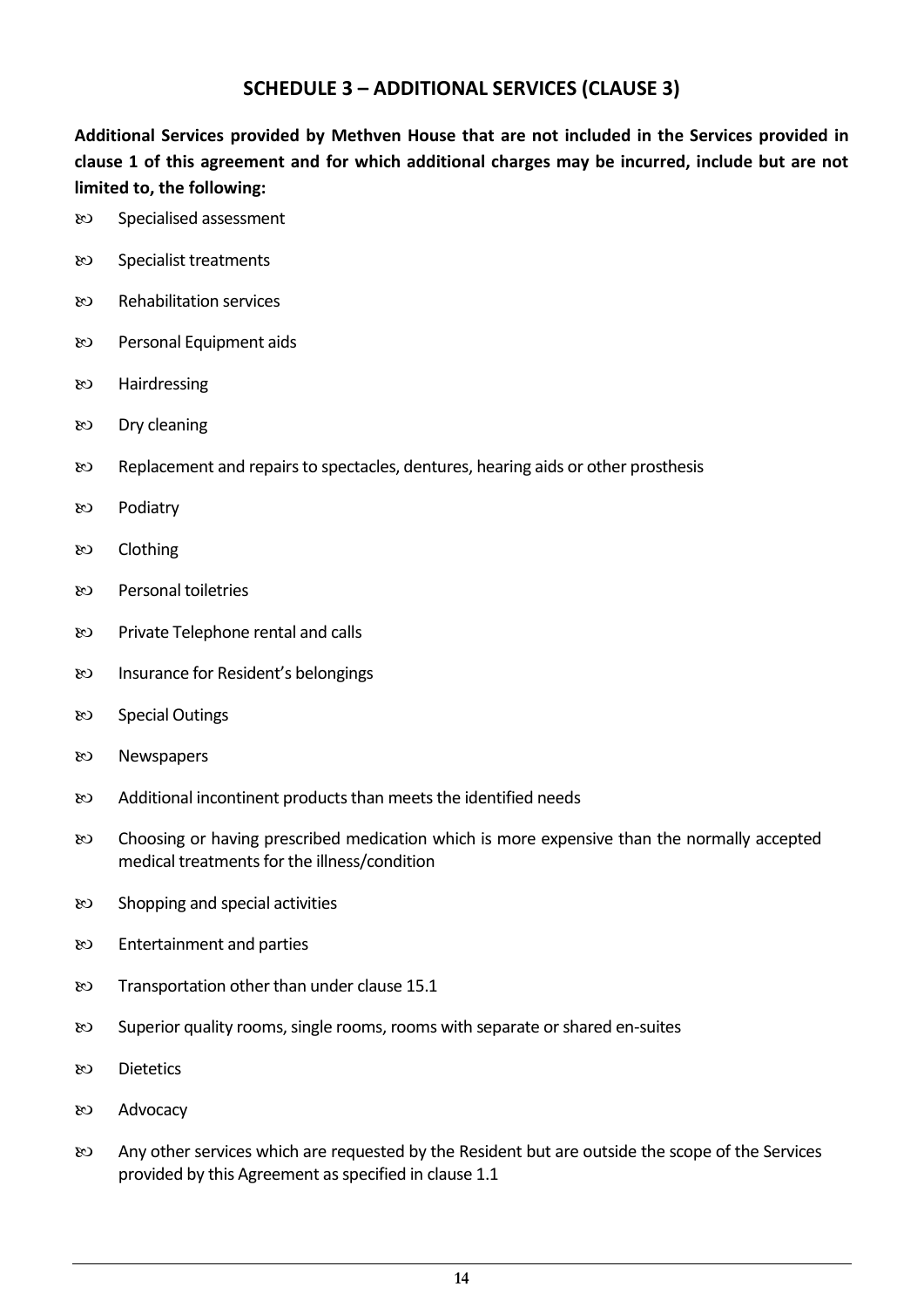# **SCHEDULE 3 – ADDITIONAL SERVICES (CLAUSE 3)**

**Additional Services provided by Methven House that are not included in the Services provided in clause 1 of this agreement and for which additional charges may be incurred, include but are not limited to, the following:**

- 80 Specialised assessment
- Specialist treatments
- Rehabilitation services
- Personal Equipment aids
- 80 Hairdressing
- Dry cleaning
- Replacement and repairs to spectacles, dentures, hearing aids or other prosthesis
- හ Podiatry
- $&$  Clothing
- Personal toiletries
- Private Telephone rental and calls
- Insurance for Resident's belongings
- 80 Special Outings
- Newspapers
- Additional incontinent products than meets the identified needs
- Choosing or having prescribed medication which is more expensive than the normally accepted medical treatments for the illness/condition
- se Shopping and special activities
- $\infty$  Entertainment and parties
- EQ Transportation other than under clause 15.1
- Superior quality rooms, single rooms, rooms with separate or shared en-suites
- Dietetics
- Advocacy
- Any other services which are requested by the Resident but are outside the scope of the Services provided by this Agreement as specified in clause 1.1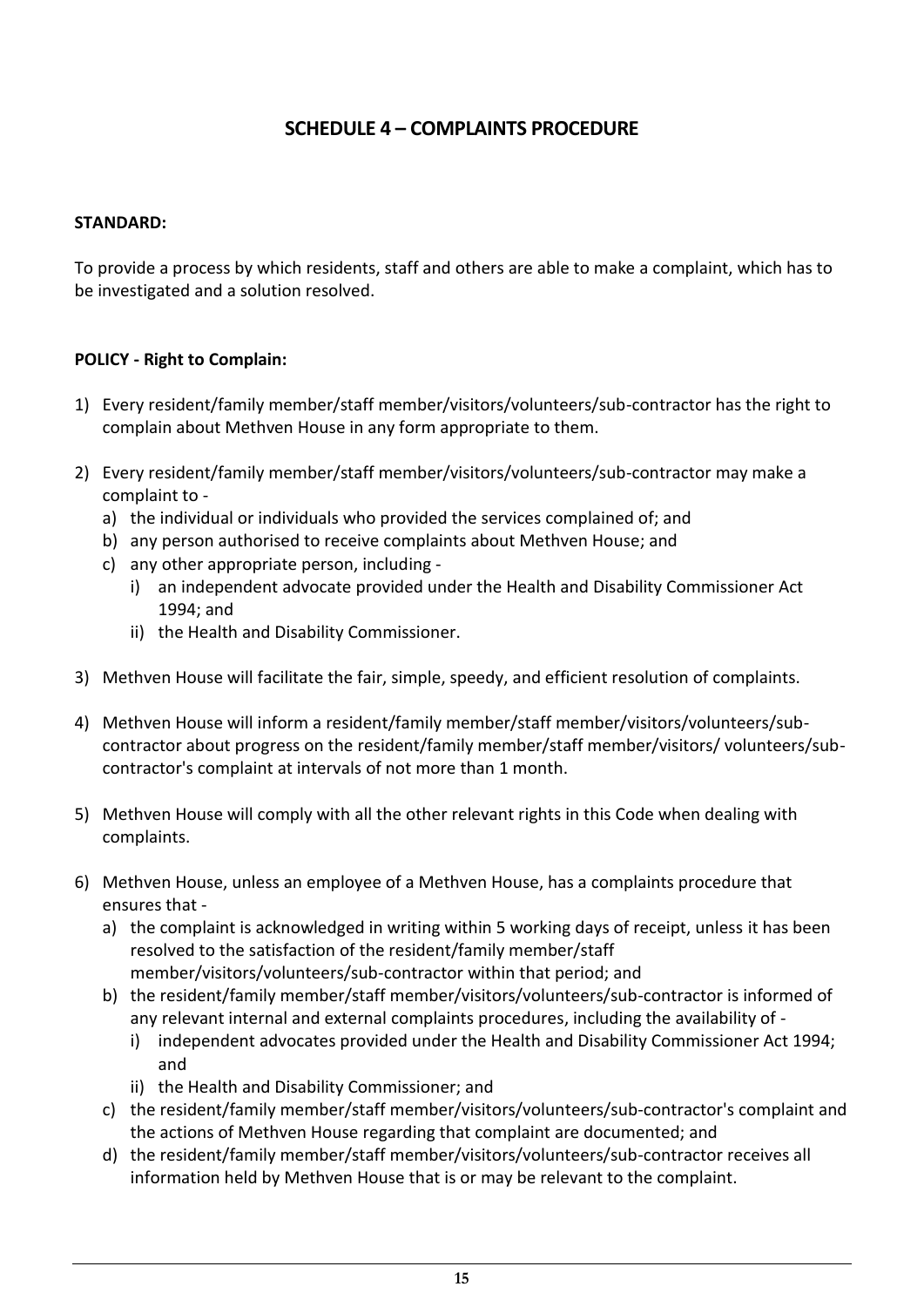# **SCHEDULE 4 – COMPLAINTS PROCEDURE**

# **STANDARD:**

To provide a process by which residents, staff and others are able to make a complaint, which has to be investigated and a solution resolved.

# **POLICY - Right to Complain:**

- 1) Every resident/family member/staff member/visitors/volunteers/sub-contractor has the right to complain about Methven House in any form appropriate to them.
- 2) Every resident/family member/staff member/visitors/volunteers/sub-contractor may make a complaint to
	- a) the individual or individuals who provided the services complained of; and
	- b) any person authorised to receive complaints about Methven House; and
	- c) any other appropriate person, including
		- i) an independent advocate provided under the Health and Disability Commissioner Act 1994; and
		- ii) the Health and Disability Commissioner.
- 3) Methven House will facilitate the fair, simple, speedy, and efficient resolution of complaints.
- 4) Methven House will inform a resident/family member/staff member/visitors/volunteers/subcontractor about progress on the resident/family member/staff member/visitors/ volunteers/subcontractor's complaint at intervals of not more than 1 month.
- 5) Methven House will comply with all the other relevant rights in this Code when dealing with complaints.
- 6) Methven House, unless an employee of a Methven House, has a complaints procedure that ensures that
	- a) the complaint is acknowledged in writing within 5 working days of receipt, unless it has been resolved to the satisfaction of the resident/family member/staff member/visitors/volunteers/sub-contractor within that period; and
	- b) the resident/family member/staff member/visitors/volunteers/sub-contractor is informed of any relevant internal and external complaints procedures, including the availability of
		- i) independent advocates provided under the Health and Disability Commissioner Act 1994; and
		- ii) the Health and Disability Commissioner; and
	- c) the resident/family member/staff member/visitors/volunteers/sub-contractor's complaint and the actions of Methven House regarding that complaint are documented; and
	- d) the resident/family member/staff member/visitors/volunteers/sub-contractor receives all information held by Methven House that is or may be relevant to the complaint.